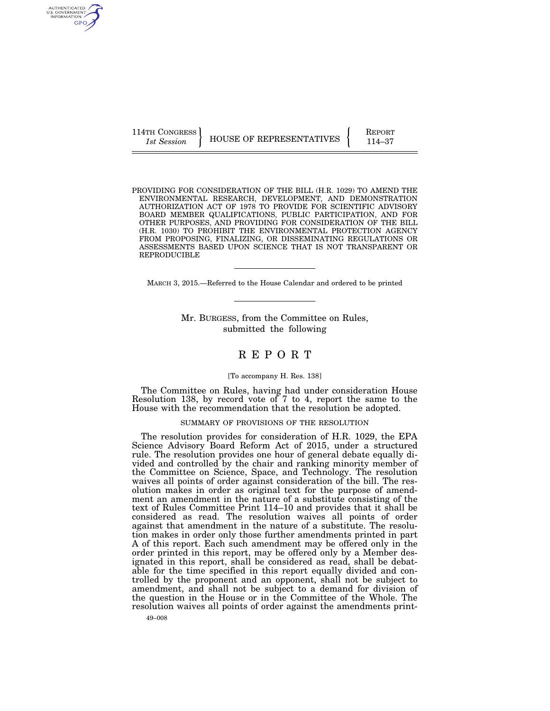114TH CONGRESS **REPORT 114-37** HOUSE OF REPRESENTATIVES **PERIODE 114–37** 

PROVIDING FOR CONSIDERATION OF THE BILL (H.R. 1029) TO AMEND THE ENVIRONMENTAL RESEARCH, DEVELOPMENT, AND DEMONSTRATION AUTHORIZATION ACT OF 1978 TO PROVIDE FOR SCIENTIFIC ADVISORY BOARD MEMBER QUALIFICATIONS, PUBLIC PARTICIPATION, AND FOR OTHER PURPOSES, AND PROVIDING FOR CONSIDERATION OF THE BILL (H.R. 1030) TO PROHIBIT THE ENVIRONMENTAL PROTECTION AGENCY FROM PROPOSING, FINALIZING, OR DISSEMINATING REGULATIONS OR ASSESSMENTS BASED UPON SCIENCE THAT IS NOT TRANSPARENT OR REPRODUCIBLE

MARCH 3, 2015.—Referred to the House Calendar and ordered to be printed

Mr. BURGESS, from the Committee on Rules, submitted the following

# R E P O R T

#### [To accompany H. Res. 138]

The Committee on Rules, having had under consideration House Resolution 138, by record vote of 7 to 4, report the same to the House with the recommendation that the resolution be adopted.

#### SUMMARY OF PROVISIONS OF THE RESOLUTION

The resolution provides for consideration of H.R. 1029, the EPA Science Advisory Board Reform Act of 2015, under a structured rule. The resolution provides one hour of general debate equally divided and controlled by the chair and ranking minority member of the Committee on Science, Space, and Technology. The resolution waives all points of order against consideration of the bill. The resolution makes in order as original text for the purpose of amendment an amendment in the nature of a substitute consisting of the text of Rules Committee Print 114–10 and provides that it shall be considered as read. The resolution waives all points of order against that amendment in the nature of a substitute. The resolution makes in order only those further amendments printed in part A of this report. Each such amendment may be offered only in the order printed in this report, may be offered only by a Member designated in this report, shall be considered as read, shall be debatable for the time specified in this report equally divided and controlled by the proponent and an opponent, shall not be subject to amendment, and shall not be subject to a demand for division of the question in the House or in the Committee of the Whole. The resolution waives all points of order against the amendments print-

AUTHENTICATED U.S. GOVERNMENT GPO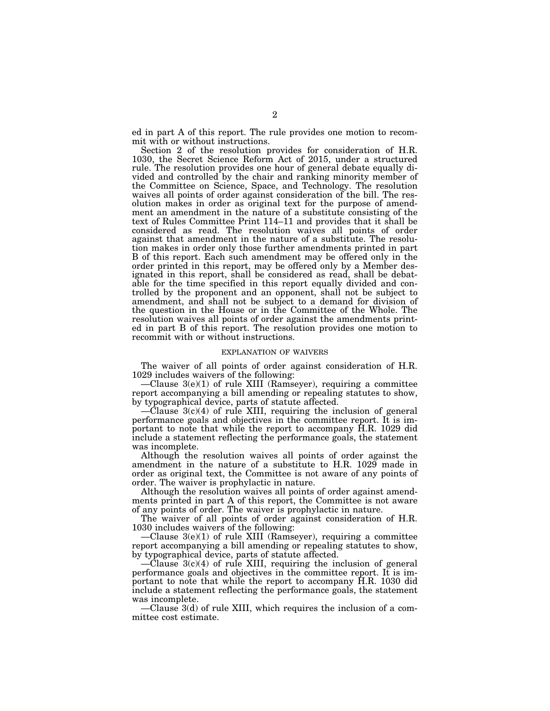ed in part A of this report. The rule provides one motion to recommit with or without instructions.

Section 2 of the resolution provides for consideration of H.R. 1030, the Secret Science Reform Act of 2015, under a structured rule. The resolution provides one hour of general debate equally divided and controlled by the chair and ranking minority member of the Committee on Science, Space, and Technology. The resolution waives all points of order against consideration of the bill. The resolution makes in order as original text for the purpose of amendment an amendment in the nature of a substitute consisting of the text of Rules Committee Print 114–11 and provides that it shall be considered as read. The resolution waives all points of order against that amendment in the nature of a substitute. The resolution makes in order only those further amendments printed in part B of this report. Each such amendment may be offered only in the order printed in this report, may be offered only by a Member designated in this report, shall be considered as read, shall be debatable for the time specified in this report equally divided and controlled by the proponent and an opponent, shall not be subject to amendment, and shall not be subject to a demand for division of the question in the House or in the Committee of the Whole. The resolution waives all points of order against the amendments printed in part B of this report. The resolution provides one motion to recommit with or without instructions.

## EXPLANATION OF WAIVERS

The waiver of all points of order against consideration of H.R. 1029 includes waivers of the following:

—Clause 3(e)(1) of rule XIII (Ramseyer), requiring a committee report accompanying a bill amending or repealing statutes to show, by typographical device, parts of statute affected.

—Clause 3(c)(4) of rule XIII, requiring the inclusion of general performance goals and objectives in the committee report. It is important to note that while the report to accompany H.R. 1029 did include a statement reflecting the performance goals, the statement was incomplete.

Although the resolution waives all points of order against the amendment in the nature of a substitute to H.R. 1029 made in order as original text, the Committee is not aware of any points of order. The waiver is prophylactic in nature.

Although the resolution waives all points of order against amendments printed in part A of this report, the Committee is not aware of any points of order. The waiver is prophylactic in nature.

The waiver of all points of order against consideration of H.R. 1030 includes waivers of the following:

—Clause 3(e)(1) of rule XIII (Ramseyer), requiring a committee report accompanying a bill amending or repealing statutes to show, by typographical device, parts of statute affected.

 $-C$ lause  $3(c)(4)$  of rule XIII, requiring the inclusion of general performance goals and objectives in the committee report. It is important to note that while the report to accompany H.R. 1030 did include a statement reflecting the performance goals, the statement was incomplete.

—Clause 3(d) of rule XIII, which requires the inclusion of a committee cost estimate.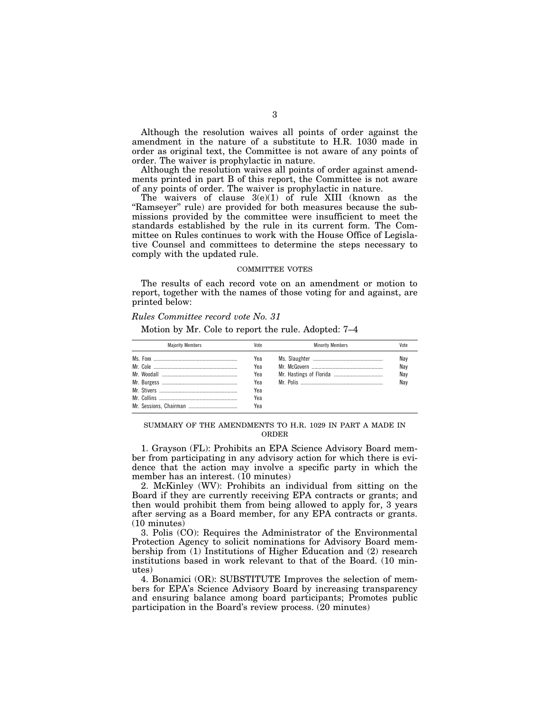Although the resolution waives all points of order against the amendment in the nature of a substitute to H.R. 1030 made in order as original text, the Committee is not aware of any points of order. The waiver is prophylactic in nature.

Although the resolution waives all points of order against amendments printed in part B of this report, the Committee is not aware of any points of order. The waiver is prophylactic in nature.

The waivers of clause  $3(e)(1)$  of rule XIII (known as the "Ramseyer" rule) are provided for both measures because the submissions provided by the committee were insufficient to meet the standards established by the rule in its current form. The Committee on Rules continues to work with the House Office of Legislative Counsel and committees to determine the steps necessary to comply with the updated rule.

## COMMITTEE VOTES

The results of each record vote on an amendment or motion to report, together with the names of those voting for and against, are printed below:

## *Rules Committee record vote No. 31*

Motion by Mr. Cole to report the rule. Adopted: 7–4

| <b>Maiority Members</b> | Vote | <b>Minority Members</b> | Vote |
|-------------------------|------|-------------------------|------|
|                         | Yea  |                         | Nav  |
|                         | Yea  |                         | Nay  |
|                         | Yea  |                         | Nay  |
|                         | Yea  |                         | Nav  |
|                         | Yea  |                         |      |
|                         | Yea  |                         |      |
|                         | Yea  |                         |      |

SUMMARY OF THE AMENDMENTS TO H.R. 1029 IN PART A MADE IN ORDER

1. Grayson (FL): Prohibits an EPA Science Advisory Board member from participating in any advisory action for which there is evidence that the action may involve a specific party in which the member has an interest. (10 minutes)

2. McKinley (WV): Prohibits an individual from sitting on the Board if they are currently receiving EPA contracts or grants; and then would prohibit them from being allowed to apply for, 3 years after serving as a Board member, for any EPA contracts or grants. (10 minutes)

3. Polis (CO): Requires the Administrator of the Environmental Protection Agency to solicit nominations for Advisory Board membership from (1) Institutions of Higher Education and (2) research institutions based in work relevant to that of the Board. (10 minutes)

4. Bonamici (OR): SUBSTITUTE Improves the selection of members for EPA's Science Advisory Board by increasing transparency and ensuring balance among board participants; Promotes public participation in the Board's review process. (20 minutes)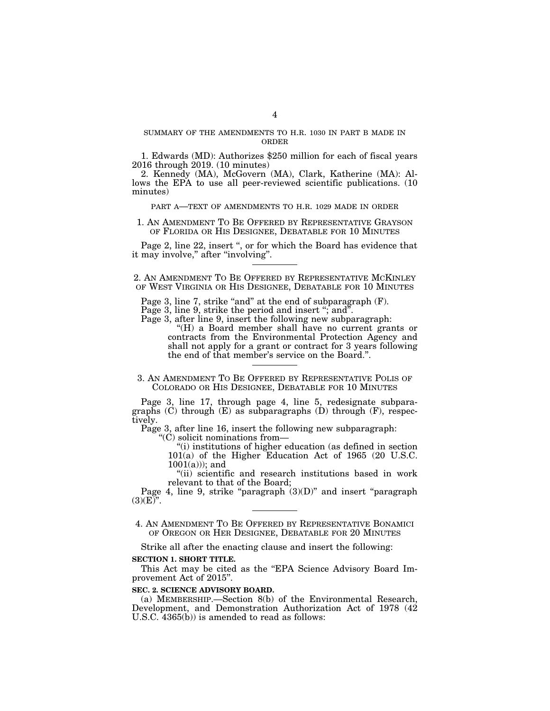## SUMMARY OF THE AMENDMENTS TO H.R. 1030 IN PART B MADE IN ORDER

1. Edwards (MD): Authorizes \$250 million for each of fiscal years 2016 through 2019. (10 minutes)

2. Kennedy (MA), McGovern (MA), Clark, Katherine (MA): Allows the EPA to use all peer-reviewed scientific publications. (10) minutes)

#### PART A—TEXT OF AMENDMENTS TO H.R. 1029 MADE IN ORDER

## 1. AN AMENDMENT TO BE OFFERED BY REPRESENTATIVE GRAYSON OF FLORIDA OR HIS DESIGNEE, DEBATABLE FOR 10 MINUTES

Page 2, line 22, insert ", or for which the Board has evidence that it may involve," after "involving".

2. AN AMENDMENT TO BE OFFERED BY REPRESENTATIVE MCKINLEY OF WEST VIRGINIA OR HIS DESIGNEE, DEBATABLE FOR 10 MINUTES

Page 3, line 7, strike "and" at the end of subparagraph (F).

Page 3, line 9, strike the period and insert "; and".

Page 3, after line 9, insert the following new subparagraph:

''(H) a Board member shall have no current grants or contracts from the Environmental Protection Agency and shall not apply for a grant or contract for 3 years following the end of that member's service on the Board.''.

3. AN AMENDMENT TO BE OFFERED BY REPRESENTATIVE POLIS OF COLORADO OR HIS DESIGNEE, DEBATABLE FOR 10 MINUTES

Page 3, line 17, through page 4, line 5, redesignate subparagraphs  $(C)$  through  $(E)$  as subparagraphs  $(D)$  through  $(F)$ , respectively.

Page 3, after line 16, insert the following new subparagraph:

''(C) solicit nominations from—

''(i) institutions of higher education (as defined in section 101(a) of the Higher Education Act of 1965 (20 U.S.C.  $1001(a))$ ; and

''(ii) scientific and research institutions based in work relevant to that of the Board;

Page 4, line 9, strike "paragraph  $(3)(D)$ " and insert "paragraph  $(3)(E)$ ".

4. AN AMENDMENT TO BE OFFERED BY REPRESENTATIVE BONAMICI OF OREGON OR HER DESIGNEE, DEBATABLE FOR 20 MINUTES

Strike all after the enacting clause and insert the following:

**SECTION 1. SHORT TITLE.** 

This Act may be cited as the "EPA Science Advisory Board Improvement Act of 2015''.

#### **SEC. 2. SCIENCE ADVISORY BOARD.**

(a) MEMBERSHIP.—Section 8(b) of the Environmental Research, Development, and Demonstration Authorization Act of 1978 (42 U.S.C.  $4365(b)$  is amended to read as follows: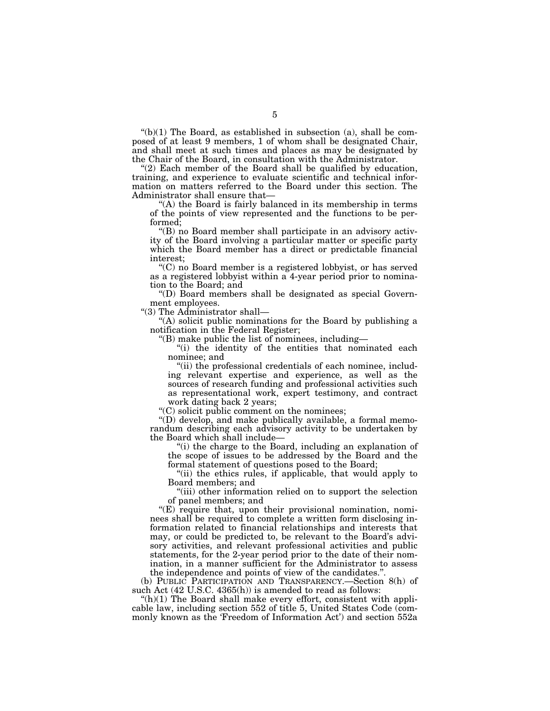$'(b)(1)$  The Board, as established in subsection (a), shall be composed of at least 9 members, 1 of whom shall be designated Chair, and shall meet at such times and places as may be designated by the Chair of the Board, in consultation with the Administrator.

" $(2)$  Each member of the Board shall be qualified by education, training, and experience to evaluate scientific and technical information on matters referred to the Board under this section. The Administrator shall ensure that—

''(A) the Board is fairly balanced in its membership in terms of the points of view represented and the functions to be performed;

''(B) no Board member shall participate in an advisory activity of the Board involving a particular matter or specific party which the Board member has a direct or predictable financial interest;

''(C) no Board member is a registered lobbyist, or has served as a registered lobbyist within a 4-year period prior to nomination to the Board; and

''(D) Board members shall be designated as special Government employees.

''(3) The Administrator shall—

"(A) solicit public nominations for the Board by publishing a notification in the Federal Register;

''(B) make public the list of nominees, including—

''(i) the identity of the entities that nominated each nominee; and

"(ii) the professional credentials of each nominee, including relevant expertise and experience, as well as the sources of research funding and professional activities such as representational work, expert testimony, and contract work dating back 2 years;

''(C) solicit public comment on the nominees;

''(D) develop, and make publically available, a formal memorandum describing each advisory activity to be undertaken by the Board which shall include—

''(i) the charge to the Board, including an explanation of the scope of issues to be addressed by the Board and the formal statement of questions posed to the Board;

"(ii) the ethics rules, if applicable, that would apply to Board members; and

''(iii) other information relied on to support the selection of panel members; and

" $(E)$  require that, upon their provisional nomination, nominees shall be required to complete a written form disclosing information related to financial relationships and interests that may, or could be predicted to, be relevant to the Board's advisory activities, and relevant professional activities and public statements, for the 2-year period prior to the date of their nomination, in a manner sufficient for the Administrator to assess the independence and points of view of the candidates."

(b) PUBLIC PARTICIPATION AND TRANSPARENCY.—Section 8(h) of such Act (42 U.S.C. 4365(h)) is amended to read as follows:

 $f(h)(1)$  The Board shall make every effort, consistent with applicable law, including section 552 of title 5, United States Code (commonly known as the 'Freedom of Information Act') and section 552a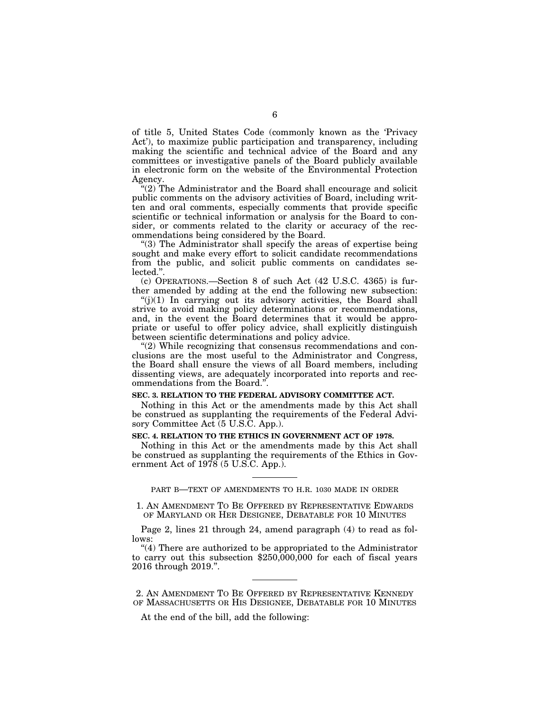of title 5, United States Code (commonly known as the 'Privacy Act'), to maximize public participation and transparency, including making the scientific and technical advice of the Board and any committees or investigative panels of the Board publicly available in electronic form on the website of the Environmental Protection Agency.

''(2) The Administrator and the Board shall encourage and solicit public comments on the advisory activities of Board, including written and oral comments, especially comments that provide specific scientific or technical information or analysis for the Board to consider, or comments related to the clarity or accuracy of the recommendations being considered by the Board.

''(3) The Administrator shall specify the areas of expertise being sought and make every effort to solicit candidate recommendations from the public, and solicit public comments on candidates selected.''.

(c) OPERATIONS.—Section 8 of such Act (42 U.S.C. 4365) is further amended by adding at the end the following new subsection:

 $''(j)(1)$  In carrying out its advisory activities, the Board shall strive to avoid making policy determinations or recommendations, and, in the event the Board determines that it would be appropriate or useful to offer policy advice, shall explicitly distinguish between scientific determinations and policy advice.

"(2) While recognizing that consensus recommendations and conclusions are the most useful to the Administrator and Congress, the Board shall ensure the views of all Board members, including dissenting views, are adequately incorporated into reports and recommendations from the Board.''.

#### **SEC. 3. RELATION TO THE FEDERAL ADVISORY COMMITTEE ACT.**

Nothing in this Act or the amendments made by this Act shall be construed as supplanting the requirements of the Federal Advisory Committee Act (5 U.S.C. App.).

## **SEC. 4. RELATION TO THE ETHICS IN GOVERNMENT ACT OF 1978.**

Nothing in this Act or the amendments made by this Act shall be construed as supplanting the requirements of the Ethics in Government Act of 1978 (5 U.S.C. App.).

PART B—TEXT OF AMENDMENTS TO H.R. 1030 MADE IN ORDER

1. AN AMENDMENT TO BE OFFERED BY REPRESENTATIVE EDWARDS OF MARYLAND OR HER DESIGNEE, DEBATABLE FOR 10 MINUTES

Page 2, lines 21 through 24, amend paragraph (4) to read as follows:

"(4) There are authorized to be appropriated to the Administrator to carry out this subsection  $$250,000,000$  for each of fiscal years 2016 through 2019.''.

2. AN AMENDMENT TO BE OFFERED BY REPRESENTATIVE KENNEDY OF MASSACHUSETTS OR HIS DESIGNEE, DEBATABLE FOR 10 MINUTES

At the end of the bill, add the following: